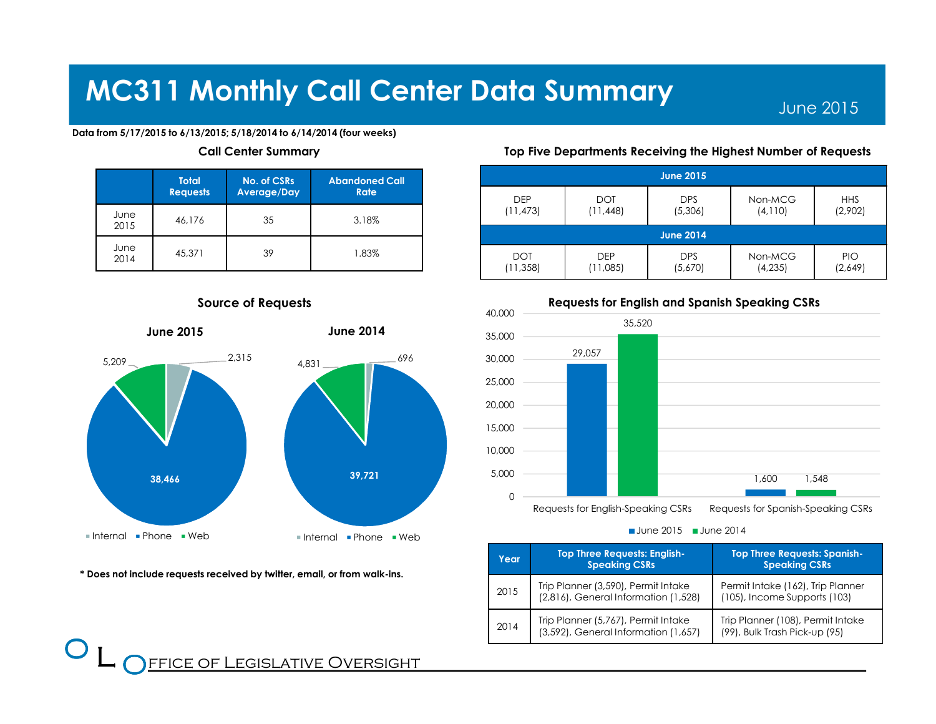June 2015

### Data from 5/17/2015 to 6/13/2015; 5/18/2014 to 6/14/2014 (four weeks)

### Call Center Summary

|              | <b>Total</b><br><b>Requests</b> | No. of CSRs<br>Average/Day | <b>Abandoned Call</b><br><b>Rate</b> |
|--------------|---------------------------------|----------------------------|--------------------------------------|
| June<br>2015 | 46.176                          | 35                         | 3.18%                                |
| June<br>2014 | 45,371                          | 39                         | 1.83%                                |



Source of Requests

### \* Does not include requests received by twitter, email, or from walk-ins.

 $\bf{O}$  $\overline{\phantom{a}}$ 

Top Five Departments Receiving the Highest Number of Requests

| <b>June 2015</b> |            |            |          |            |  |  |
|------------------|------------|------------|----------|------------|--|--|
| <b>DEP</b>       | <b>DOT</b> | <b>DPS</b> | Non-MCG  | <b>HHS</b> |  |  |
| (11, 473)        | (11, 448)  | (5,306)    | (4,110)  | (2,902)    |  |  |
| <b>June 2014</b> |            |            |          |            |  |  |
| <b>DOT</b>       | <b>DEP</b> | <b>DPS</b> | Non-MCG  | <b>PIO</b> |  |  |
| (11, 358)        | (11,085)   | (5,670)    | (4, 235) | (2,649)    |  |  |



### Requests for English and Spanish Speaking CSRs

June  $2015$   $\blacksquare$  June  $2014$ 

| Year | <b>Top Three Requests: English-</b><br><b>Speaking CSRs</b>                 | <b>Top Three Requests: Spanish-</b><br><b>Speaking CSRs</b>        |
|------|-----------------------------------------------------------------------------|--------------------------------------------------------------------|
| 2015 | Trip Planner (3,590), Permit Intake<br>(2,816), General Information (1,528) | Permit Intake (162), Trip Planner<br>(105), Income Supports (103)  |
| 2014 | Trip Planner (5,767), Permit Intake<br>(3,592), General Information (1,657) | Trip Planner (108), Permit Intake<br>(99), Bulk Trash Pick-up (95) |

FFICE OF LEGISLATIVE OVERSIGHT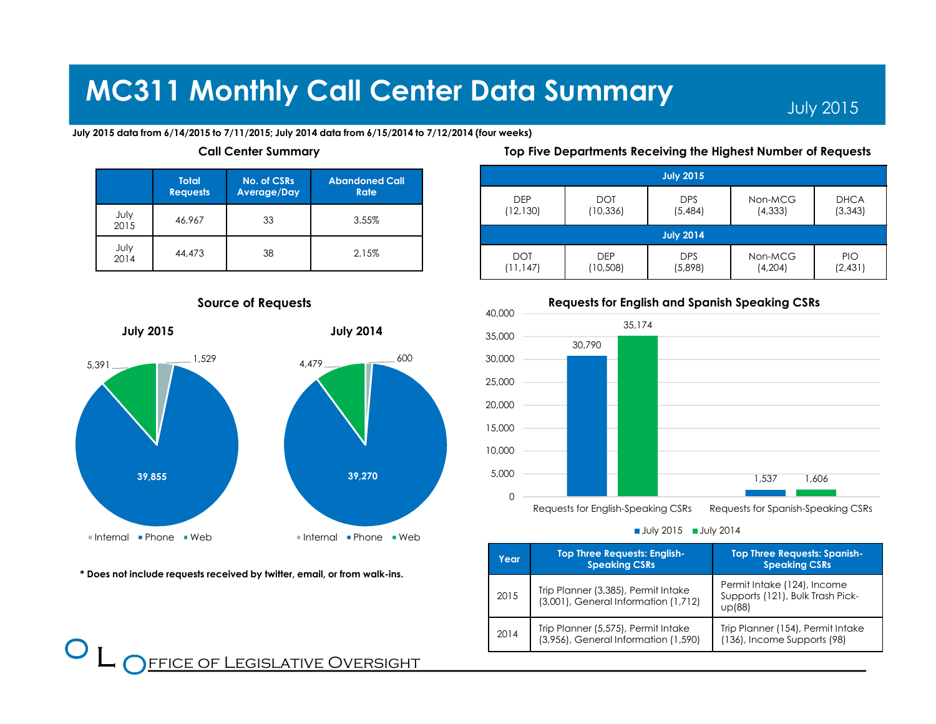July 2015

July 2015 data from 6/14/2015 to 7/11/2015; July 2014 data from 6/15/2014 to 7/12/2014 (four weeks)

### Call Center Summary

|  |  |  |  | Top Five Departments Receiving the Highest Number of Requests |
|--|--|--|--|---------------------------------------------------------------|
|  |  |  |  |                                                               |

July 2015

|              | <b>Total</b><br><b>Requests</b> | <b>No. of CSRs</b><br>Average/Day | <b>Abandoned Call</b><br>Rate |
|--------------|---------------------------------|-----------------------------------|-------------------------------|
| July<br>2015 | 46,967                          | 33                                | 3.55%                         |
| July<br>2014 | 44,473                          | 38                                | 2.15%                         |

### Source of Requests



\* Does not include requests received by twitter, email, or from walk-ins.

### $\bf{O}$  $\overline{\phantom{a}}$ **FFICE OF LEGISLATIVE OVERSIGHT**





### Requests for English and Spanish Speaking CSRs

July 2015 July 2014

| Year | <b>Top Three Requests: English-</b><br><b>Speaking CSRs</b>                 | <b>Top Three Requests: Spanish-</b><br><b>Speaking CSRs</b>               |
|------|-----------------------------------------------------------------------------|---------------------------------------------------------------------------|
| 2015 | Trip Planner (3,385), Permit Intake<br>(3,001), General Information (1,712) | Permit Intake (124), Income<br>Supports (121), Bulk Trash Pick-<br>up(88) |
| 2014 | Trip Planner (5,575), Permit Intake<br>(3,956), General Information (1,590) | Trip Planner (154), Permit Intake<br>(136), Income Supports (98)          |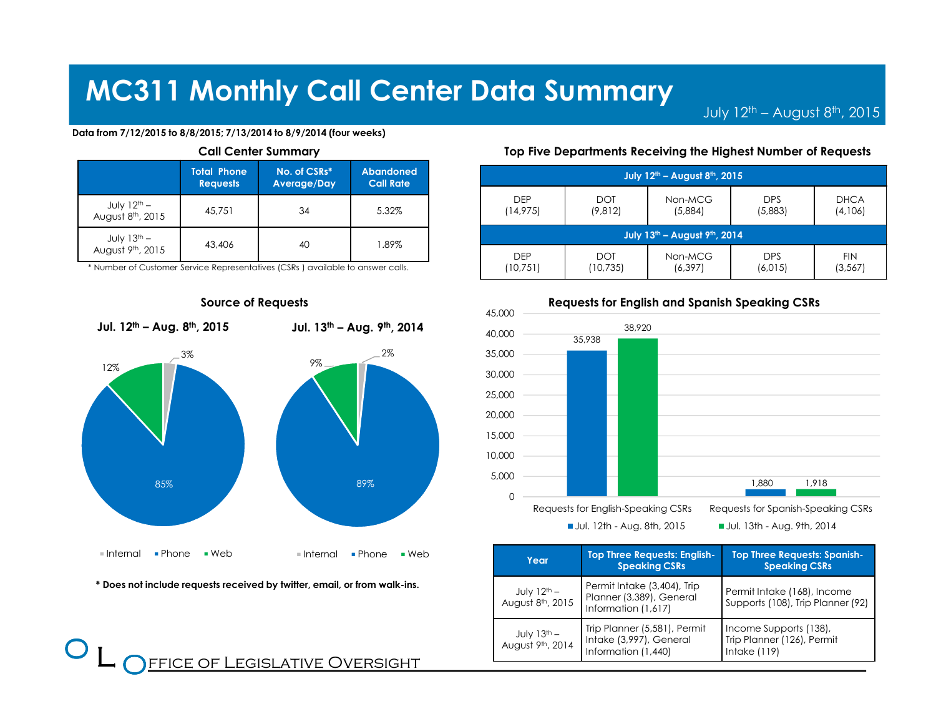July  $12^{\text{th}}$  – August  $8^{\text{th}}$ , 2015

#### Data from 7/12/2015 to 8/8/2015; 7/13/2014 to 8/9/2014 (four weeks)

| <b>Call Center Summary</b>                                                                                   |        |    |       |  |  |
|--------------------------------------------------------------------------------------------------------------|--------|----|-------|--|--|
| <b>Total Phone</b><br>No. of CSRs*<br><b>Abandoned</b><br><b>Call Rate</b><br><b>Requests</b><br>Average/Day |        |    |       |  |  |
| July 12 <sup>th</sup> –<br>August 8 <sup>th</sup> , 2015                                                     | 45.751 | 34 | 5.32% |  |  |
| July 13 <sup>th</sup> –<br>August 9 <sup>th</sup> , 2015                                                     | 43,406 | 40 | 1.89% |  |  |

\* Number of Customer Service Representatives (CSRs ) available to answer calls.



Source of Requests

\* Does not include requests received by twitter, email, or from walk-ins.

 $\bf{O}$  $\overline{\phantom{a}}$ 

### Top Five Departments Receiving the Highest Number of Requests

| July 12 <sup>th</sup> - August 8 <sup>th</sup> , 2015 |                        |                     |                       |                        |  |  |
|-------------------------------------------------------|------------------------|---------------------|-----------------------|------------------------|--|--|
| <b>DEP</b><br><b>DOT</b><br>(9,812)<br>(14, 975)      |                        | Non-MCG<br>(5,884)  | <b>DPS</b><br>(5,883) | <b>DHCA</b><br>(4,106) |  |  |
| July 13 <sup>th</sup> - August 9 <sup>th</sup> , 2014 |                        |                     |                       |                        |  |  |
| <b>DEP</b><br>(10,751)                                | <b>DOT</b><br>(10,735) | Non-MCG<br>(6, 397) | <b>DPS</b><br>(6,015) | <b>FIN</b><br>(3, 567) |  |  |



| <b>Top Three Requests: English-</b><br>Year<br><b>Speaking CSRs</b> |                                                                                | <b>Top Three Requests: Spanish-</b><br><b>Speaking CSRs</b>            |  |
|---------------------------------------------------------------------|--------------------------------------------------------------------------------|------------------------------------------------------------------------|--|
| July $12^{th}$ –<br>August 8th, 2015                                | Permit Intake (3,404), Trip<br>Planner (3,389), General<br>Information (1,617) | Permit Intake (168), Income<br>Supports (108), Trip Planner (92)       |  |
| July $13^{th}$ –<br>August 9th, 2014                                | Trip Planner (5,581), Permit<br>Intake (3,997), General<br>Information (1,440) | Income Supports (138),<br>Trip Planner (126), Permit<br>Intake $(119)$ |  |

### Requests for English and Spanish Speaking CSRs

FFICE OF LEGISLATIVE OVERSIGHT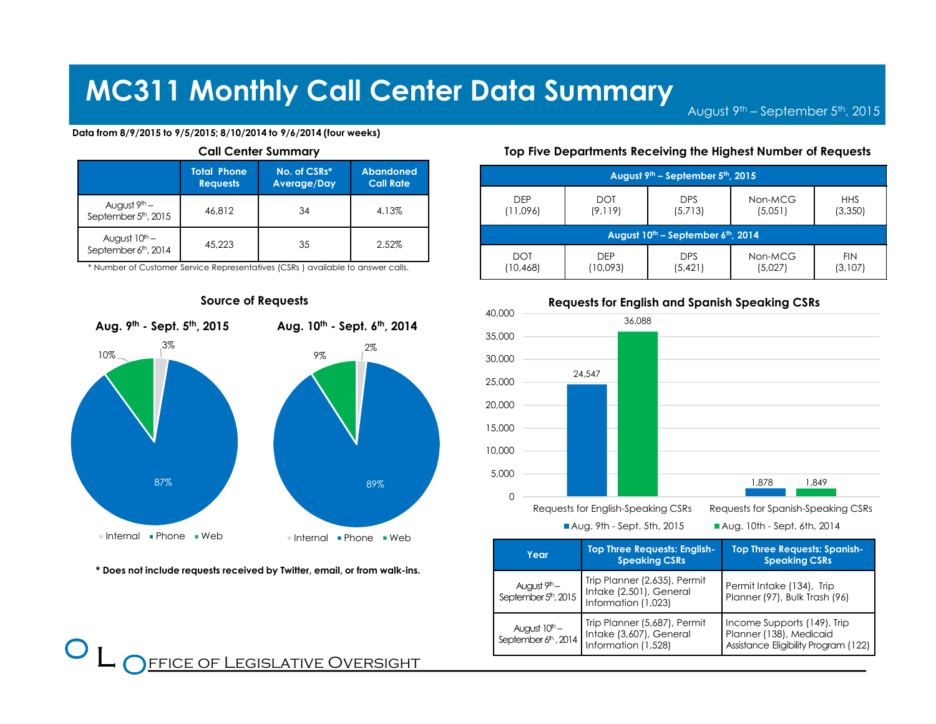August 9th – September 5th, <sup>2015</sup>

### Data from 8/9/2015 to 9/5/2015; 8/10/2014 to 9/6/2014 (four weeks)

| <b>Call Center Summary</b>                                                                                   |        |    |       |  |  |
|--------------------------------------------------------------------------------------------------------------|--------|----|-------|--|--|
| <b>Total Phone</b><br>No. of CSRs*<br><b>Abandoned</b><br><b>Call Rate</b><br><b>Requests</b><br>Average/Day |        |    |       |  |  |
| August $9^{\text{th}}$ –<br>September 5 <sup>th</sup> , 2015                                                 | 46.812 | 34 | 4.13% |  |  |
| August 10 <sup>th</sup> –<br>September 6 <sup>th</sup> , 2014                                                | 45.223 | 35 | 2.52% |  |  |

\* Number of Customer Service Representatives (CSRs ) available to answer calls.



\* Does not include requests received by Twitter, email, or from walk-ins.

 $\bf{O}$  $\overline{\phantom{a}}$ 

### Top Five Departments Receiving the Highest Number of Requests

| August 9th - September 5th, 2015                           |            |            |         |            |  |  |
|------------------------------------------------------------|------------|------------|---------|------------|--|--|
| <b>DEP</b>                                                 | <b>DOT</b> | <b>DPS</b> | Non-MCG | <b>HHS</b> |  |  |
| (11,096)                                                   | (9, 119)   | (5,713)    | (5,051) | (3,350)    |  |  |
| August 10 <sup>th</sup> – September 6 <sup>th</sup> , 2014 |            |            |         |            |  |  |
| <b>DOT</b>                                                 | <b>DEP</b> | <b>DPS</b> | Non-MCG | <b>FIN</b> |  |  |
| (10, 468)                                                  | (10,093)   | (5, 421)   | (5,027) | (3,107)    |  |  |



### Requests for English and Spanish Speaking CSRs

| Year                                                | <b>Top Three Requests: English-</b><br><b>Speaking CSRs</b>                    | <b>Top Three Requests: Spanish-</b><br><b>Speaking CSRs</b>                                    |
|-----------------------------------------------------|--------------------------------------------------------------------------------|------------------------------------------------------------------------------------------------|
| August 9 <sup>th</sup> –<br>September 5th, 2015     | Trip Planner (2,635), Permit<br>Intake (2,501), General<br>Information (1,023) | Permit Intake (134), Trip<br>Planner (97), Bulk Trash (96)                                     |
| August $10th$ –<br>September 6 <sup>th</sup> , 2014 | Trip Planner (5,687), Permit<br>Intake (3,607), General<br>Information (1,528) | Income Supports (149), Trip<br>Planner (138), Medicaid<br>Assistance Eligibility Program (122) |

## <u>FFICE OF LEGISLATIVE OVERSIGHT</u>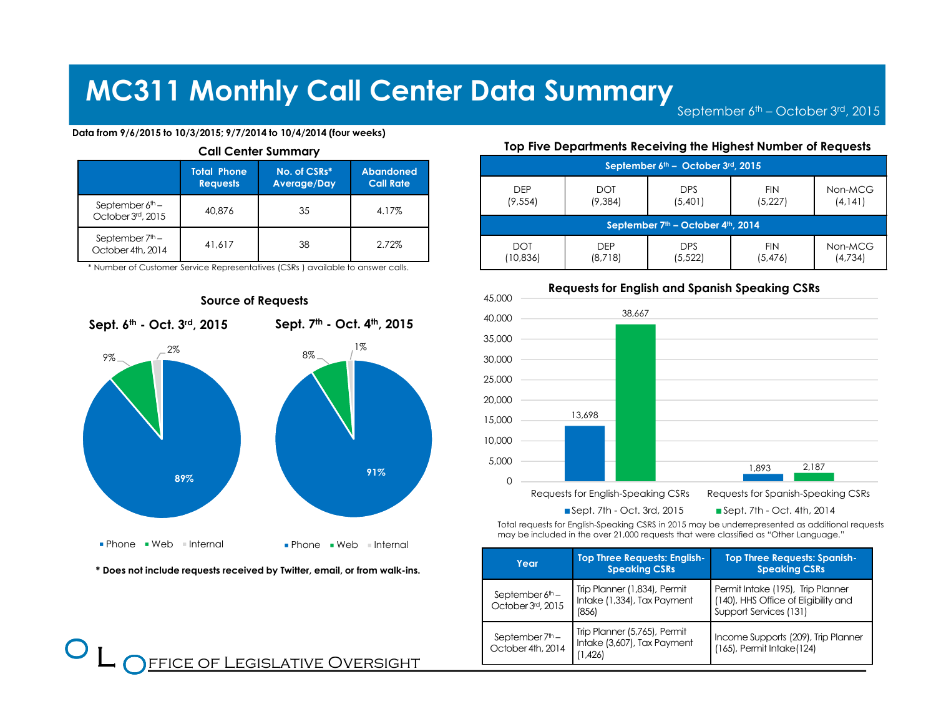September 6<sup>th</sup> – October 3<sup>rd</sup>, 2015

### Data from 9/6/2015 to 10/3/2015; 9/7/2014 to 10/4/2014 (four weeks)

| <b>Call Center Summary</b>             |                                       |                             |                                      |  |
|----------------------------------------|---------------------------------------|-----------------------------|--------------------------------------|--|
|                                        | <b>Total Phone</b><br><b>Requests</b> | No. of CSRs*<br>Average/Day | <b>Abandoned</b><br><b>Call Rate</b> |  |
| September $6th$ –<br>October 3rd, 2015 | 40,876                                | 35                          | 4.17%                                |  |
| September $7th$ –<br>October 4th, 2014 | 41.617                                | 38                          | 2.72%                                |  |

\* Number of Customer Service Representatives (CSRs ) available to answer calls.



\* Does not include requests received by Twitter, email, or from walk-ins.

**FFICE OF LEGISLATIVE OVERSIGHT** 

 $\bf{O}$  $\overline{\phantom{a}}$ 

### Top Five Departments Receiving the Highest Number of Requests

| September 6th - October 3rd, 2015                          |            |            |            |          |
|------------------------------------------------------------|------------|------------|------------|----------|
| <b>DEP</b>                                                 | <b>DOT</b> | <b>DPS</b> | <b>FIN</b> | Non-MCG  |
| (9, 554)                                                   | (9, 384)   | (5,401)    | (5,227)    | (4, 141) |
| September 7 <sup>th</sup> – October 4 <sup>th</sup> , 2014 |            |            |            |          |
| <b>DOT</b>                                                 | <b>DFP</b> | <b>DPS</b> | <b>FIN</b> | Non-MCG  |
| (10,836)                                                   | (8,718)    | (5,522)    | (5,476)    | (4,734)  |



Requests for English and Spanish Speaking CSRs

Total requests for English-Speaking CSRS in 2015 may be underrepresented as additional requests may be included in the over 21,000 requests that were classified as "Other Language."

| Year                                             | <b>Top Three Requests: English-</b><br><b>Speaking CSRs</b>            | <b>Top Three Requests: Spanish-</b><br><b>Speaking CSRs</b>                                         |
|--------------------------------------------------|------------------------------------------------------------------------|-----------------------------------------------------------------------------------------------------|
| September $6th$ –<br>October 3rd, 2015           | Trip Planner (1,834), Permit<br>Intake (1,334), Tax Payment<br>(856)   | Permit Intake (195), Trip Planner<br>(140), HHS Office of Eligibility and<br>Support Services (131) |
| September 7 <sup>th</sup> -<br>October 4th, 2014 | Trip Planner (5,765), Permit<br>Intake (3,607), Tax Payment<br>(1,426) | Income Supports (209), Trip Planner<br>$(165)$ , Permit Intake $(124)$                              |

### Source of Requests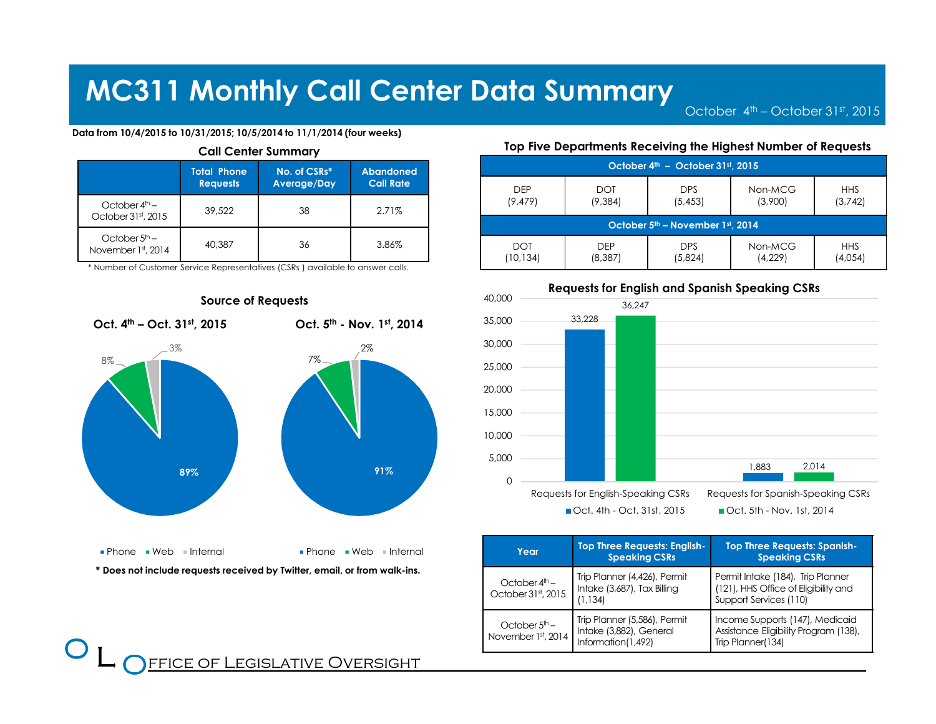October 4<sup>th</sup> – October 31st, 2015

### Data from 10/4/2015 to 10/31/2015; 10/5/2014 to 11/1/2014 (four weeks)

| <b>Call Center Summary</b>                      |                                                                                                              |    |       |  |
|-------------------------------------------------|--------------------------------------------------------------------------------------------------------------|----|-------|--|
|                                                 | <b>Total Phone</b><br>No. of CSRs*<br><b>Abandoned</b><br><b>Call Rate</b><br><b>Requests</b><br>Average/Day |    |       |  |
| October $4^{\text{th}}$ –<br>October 31st, 2015 | 39,522                                                                                                       | 38 | 2.71% |  |
| October $5th$ –<br>November 1st, 2014           | 40.387                                                                                                       | 36 | 3.86% |  |

\* Number of Customer Service Representatives (CSRs ) available to answer calls.



<u>FFICE OF LEGISLATIVE OVERSIGHT</u>

 $\bf{O}$  $\overline{\phantom{a}}$ 

### Top Five Departments Receiving the Highest Number of Requests

| October 4 <sup>th</sup> - October 31st, 2015 |            |            |         |            |
|----------------------------------------------|------------|------------|---------|------------|
| <b>DEP</b>                                   | <b>DOT</b> | <b>DPS</b> | Non-MCG | <b>HHS</b> |
| (9, 479)                                     | (9, 384)   | (5, 453)   | (3,900) | (3,742)    |
| October 5 <sup>th</sup> – November 1st, 2014 |            |            |         |            |
| <b>DOT</b>                                   | <b>DEP</b> | <b>DPS</b> | Non-MCG | <b>HHS</b> |
| (10,134)                                     | (8,387)    | (5,824)    | (4,229) | (4,054)    |



| Year                                  | <b>Top Three Requests: English-</b><br><b>Speaking CSRs</b>                   | <b>Top Three Requests: Spanish-</b><br><b>Speaking CSRs</b>                                         |
|---------------------------------------|-------------------------------------------------------------------------------|-----------------------------------------------------------------------------------------------------|
| October $4th$ –<br>October 31st, 2015 | Trip Planner (4,426), Permit<br>Intake (3,687), Tax Billing<br>(1.134)        | Permit Intake (184), Trip Planner<br>(121), HHS Office of Eligibility and<br>Support Services (110) |
| October $5th$ –<br>November 1st, 2014 | Trip Planner (5,586), Permit<br>Intake (3,882), General<br>Information(1,492) | Income Supports (147), Medicaid<br>Assistance Eligibility Program (138),<br>Trip Planner(134)       |

### Source of Requests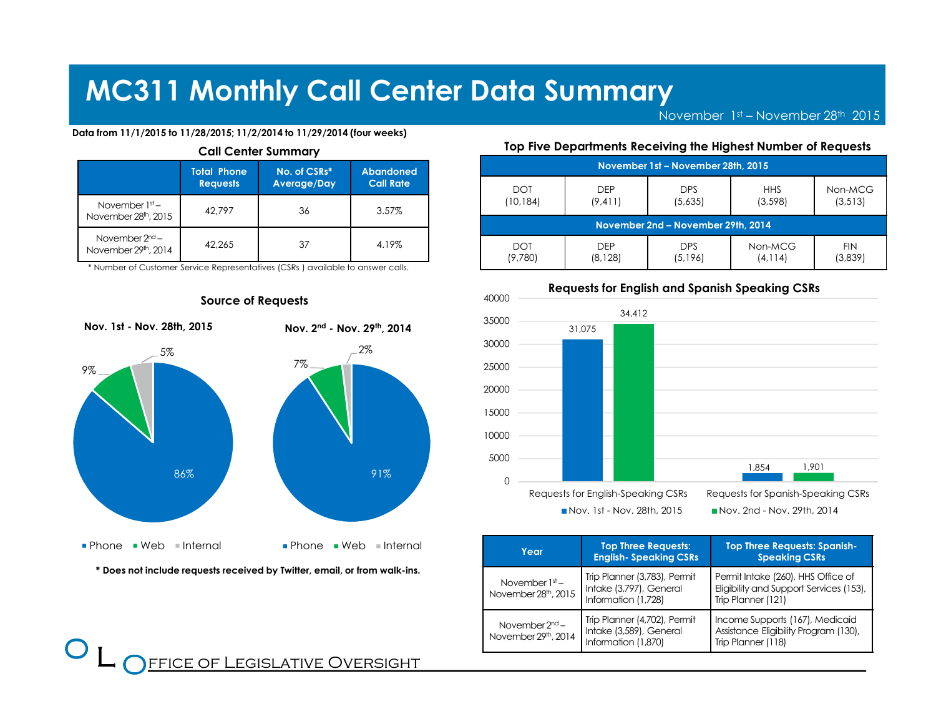November  $1<sup>st</sup>$  – November 28<sup>th</sup> 2015

### Data from 11/1/2015 to 11/28/2015; 11/2/2014 to 11/29/2014 (four weeks)

| <b>Call Center Summary</b>                           |                                                                                                              |    |       |  |
|------------------------------------------------------|--------------------------------------------------------------------------------------------------------------|----|-------|--|
|                                                      | <b>Total Phone</b><br>No. of CSRs*<br><b>Abandoned</b><br><b>Call Rate</b><br>Average/Day<br><b>Requests</b> |    |       |  |
| November $1st$ –<br>November 28 <sup>th</sup> , 2015 | 42.797                                                                                                       | 36 | 3.57% |  |
| November $2nd$ –<br>November 29th, 2014              | 42.265                                                                                                       | 37 | 4.19% |  |

\* Number of Customer Service Representatives (CSRs ) available to answer calls.



\* Does not include requests received by Twitter, email, or from walk-ins.

### Top Five Departments Receiving the Highest Number of Requests

|                                    | November 1st - November 28th, 2015 |            |            |            |  |
|------------------------------------|------------------------------------|------------|------------|------------|--|
| <b>DOT</b>                         | <b>DEP</b>                         | <b>DPS</b> | <b>HHS</b> | Non-MCG    |  |
| (10,184)                           | (9, 411)                           | (5,635)    | (3, 598)   | (3, 513)   |  |
| November 2nd - November 29th, 2014 |                                    |            |            |            |  |
| <b>DOT</b>                         | <b>DFP</b>                         | <b>DPS</b> | Non-MCG    | <b>FIN</b> |  |
| (9,780)                            | (8,128)                            | (5,196)    | (4, 114)   | (3.839)    |  |



| Year                                    | <b>Top Three Requests:</b><br><b>English-Speaking CSRs</b>                     | <b>Top Three Requests: Spanish-</b><br><b>Speaking CSRs</b>                                         |
|-----------------------------------------|--------------------------------------------------------------------------------|-----------------------------------------------------------------------------------------------------|
| November $1st$ –<br>November 28th, 2015 | Trip Planner (3,783), Permit<br>Intake (3,797), General<br>Information (1,728) | Permit Intake (260), HHS Office of<br>Eligibility and Support Services (153),<br>Trip Planner (121) |
| November $2nd$ –<br>November 29th, 2014 | Trip Planner (4,702), Permit<br>Intake (3,589), General<br>Information (1,870) | Income Supports (167), Medicaid<br>Assistance Eligibility Program (130),<br>Trip Planner (118)      |

### Source of Requests

FFICE OF LEGISLATIVE OVERSIGHT

 $\bf{O}$  $\overline{\phantom{a}}$